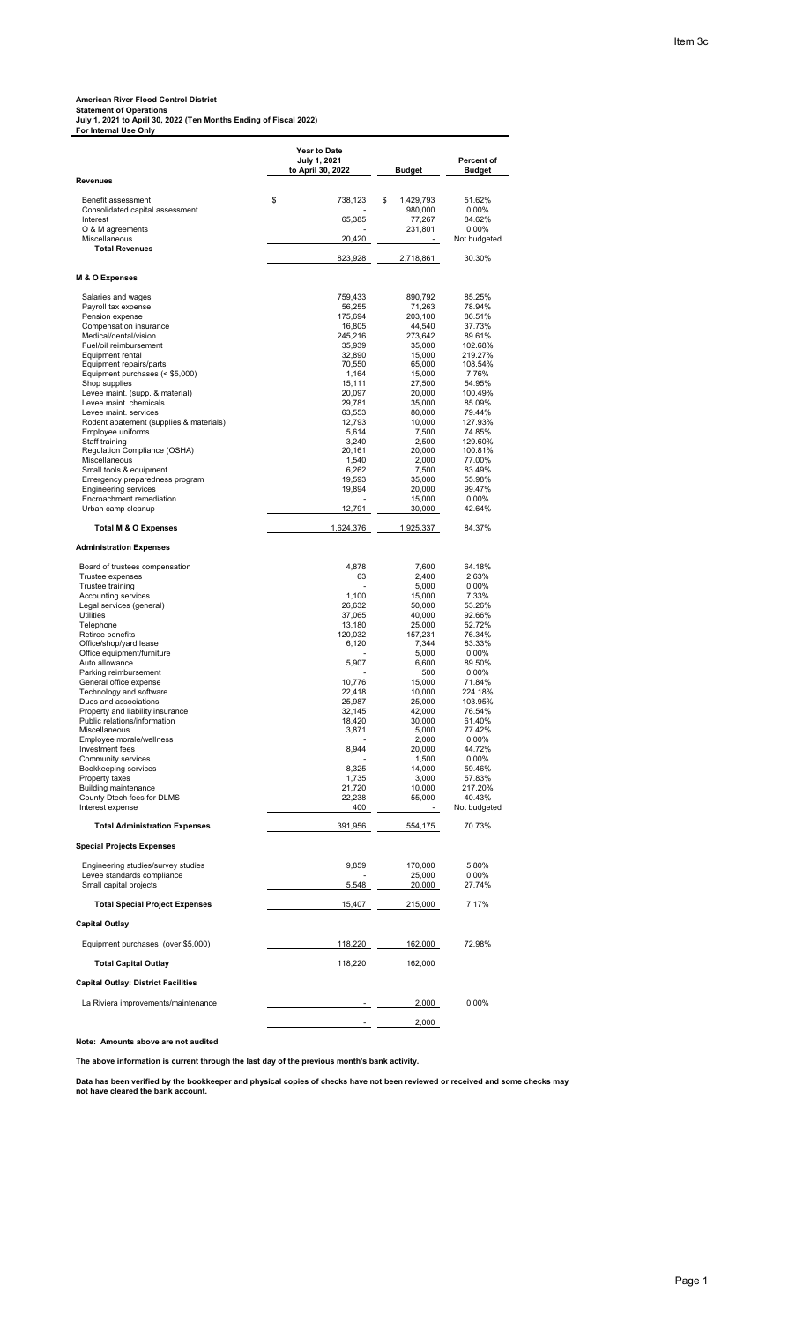**American River Flood Control District Statement of Operations July 1, 2021 to April 30, 2022 (Ten Months Ending of Fiscal 2022) For Internal Use Only**

|                                                                  | Year to Date<br>July 1, 2021 |                   | Percent of             |
|------------------------------------------------------------------|------------------------------|-------------------|------------------------|
| Revenues                                                         | to April 30, 2022            | <b>Budget</b>     | Budget                 |
| Benefit assessment                                               | \$<br>738,123                | \$<br>1,429,793   | 51.62%                 |
| Consolidated capital assessment                                  |                              | 980,000           | 0.00%                  |
| Interest<br>O & M agreements                                     | 65,385                       | 77,267<br>231,801 | 84.62%<br>$0.00\%$     |
| Miscellaneous                                                    | 20,420                       |                   | Not budgeted           |
| <b>Total Revenues</b>                                            | 823,928                      | 2,718,861         | 30.30%                 |
| M & O Expenses                                                   |                              |                   |                        |
|                                                                  |                              |                   |                        |
| Salaries and wages<br>Payroll tax expense                        | 759,433<br>56,255            | 890,792<br>71,263 | 85.25%<br>78.94%       |
| Pension expense                                                  | 175,694                      | 203,100           | 86.51%                 |
| Compensation insurance<br>Medical/dental/vision                  | 16,805<br>245,216            | 44,540<br>273,642 | 37.73%<br>89.61%       |
| Fuel/oil reimbursement                                           | 35,939                       | 35,000            | 102.68%                |
| Equipment rental                                                 | 32,890                       | 15,000            | 219.27%                |
| Equipment repairs/parts<br>Equipment purchases (< \$5,000)       | 70,550<br>1,164              | 65,000<br>15,000  | 108.54%<br>7.76%       |
| Shop supplies                                                    | 15,111                       | 27,500            | 54.95%                 |
| Levee maint. (supp. & material)                                  | 20,097                       | 20,000            | 100.49%                |
| Levee maint. chemicals                                           | 29,781                       | 35,000            | 85.09%<br>79.44%       |
| Levee maint. services<br>Rodent abatement (supplies & materials) | 63,553<br>12,793             | 80,000<br>10,000  | 127.93%                |
| Employee uniforms                                                | 5,614                        | 7,500             | 74.85%                 |
| Staff training                                                   | 3,240                        | 2,500             | 129.60%                |
| Regulation Compliance (OSHA)<br>Miscellaneous                    | 20,161<br>1,540              | 20,000<br>2,000   | 100.81%<br>77.00%      |
| Small tools & equipment                                          | 6,262                        | 7,500             | 83.49%                 |
| Emergency preparedness program                                   | 19,593                       | 35.000            | 55.98%                 |
| <b>Engineering services</b>                                      | 19,894                       | 20,000            | 99.47%                 |
| Encroachment remediation<br>Urban camp cleanup                   | 12,791                       | 15,000<br>30,000  | $0.00\%$<br>42.64%     |
| <b>Total M &amp; O Expenses</b>                                  | 1,624,376                    | 1,925,337         | 84.37%                 |
| <b>Administration Expenses</b>                                   |                              |                   |                        |
| Board of trustees compensation                                   | 4,878                        | 7,600             | 64.18%                 |
| Trustee expenses                                                 | 63                           | 2,400             | 2.63%                  |
| Trustee training                                                 |                              | 5,000             | $0.00\%$               |
| Accounting services<br>Legal services (general)                  | 1,100<br>26,632              | 15,000<br>50,000  | 7.33%<br>53.26%        |
| <b>Utilities</b>                                                 | 37,065                       | 40,000            | 92.66%                 |
| Telephone                                                        | 13,180                       | 25,000            | 52.72%                 |
| Retiree benefits<br>Office/shop/yard lease                       | 120,032<br>6,120             | 157,231<br>7,344  | 76.34%<br>83.33%       |
| Office equipment/furniture                                       |                              | 5,000             | $0.00\%$               |
| Auto allowance                                                   | 5,907                        | 6,600             | 89.50%                 |
| Parking reimbursement                                            |                              | 500               | $0.00\%$               |
| General office expense<br>Technology and software                | 10,776<br>22,418             | 15,000<br>10,000  | 71.84%<br>224.18%      |
| Dues and associations                                            | 25,987                       | 25,000            | 103.95%                |
| Property and liability insurance                                 | 32,145                       | 42,000            | 76.54%                 |
| Public relations/information<br>Miscellaneous                    | 18,420<br>3,871              | 30,000<br>5,000   | 61.40%<br>77.42%       |
| Employee morale/wellness                                         |                              | 2,000             | $0.00\%$               |
| Investment fees                                                  | 8,944                        | 20,000            | 44.72%                 |
| Community services<br>Bookkeeping services                       | 8,325                        | 1,500<br>14,000   | 0.00%<br>59.46%        |
| Property taxes                                                   | 1,735                        | 3,000             | 57.83%                 |
| <b>Building maintenance</b>                                      | 21,720                       | 10,000            | 217.20%                |
| County Dtech fees for DLMS<br>Interest expense                   | 22,238<br>400                | 55,000            | 40.43%<br>Not budgeted |
| <b>Total Administration Expenses</b>                             | 391,956                      | 554,175           | 70.73%                 |
| <b>Special Projects Expenses</b>                                 |                              |                   |                        |
| Engineering studies/survey studies                               | 9,859                        | 170,000           | 5.80%                  |
| Levee standards compliance                                       |                              | 25,000            | 0.00%                  |
| Small capital projects                                           | 5,548                        | 20,000            | 27.74%                 |
| <b>Total Special Project Expenses</b>                            | 15,407                       | 215,000           | 7.17%                  |
| <b>Capital Outlay</b>                                            |                              |                   |                        |
| Equipment purchases (over \$5,000)                               | 118,220                      | 162,000           | 72.98%                 |
| <b>Total Capital Outlay</b>                                      | 118,220                      | 162,000           |                        |
| <b>Capital Outlay: District Facilities</b>                       |                              |                   |                        |
| La Riviera improvements/maintenance                              |                              | 2,000             | $0.00\%$               |
|                                                                  |                              | 2,000             |                        |

**Note: Amounts above are not audited** 

**The above information is current through the last day of the previous month's bank activity.**

**Data has been verified by the bookkeeper and physical copies of checks have not been reviewed or received and some checks may not have cleared the bank account.**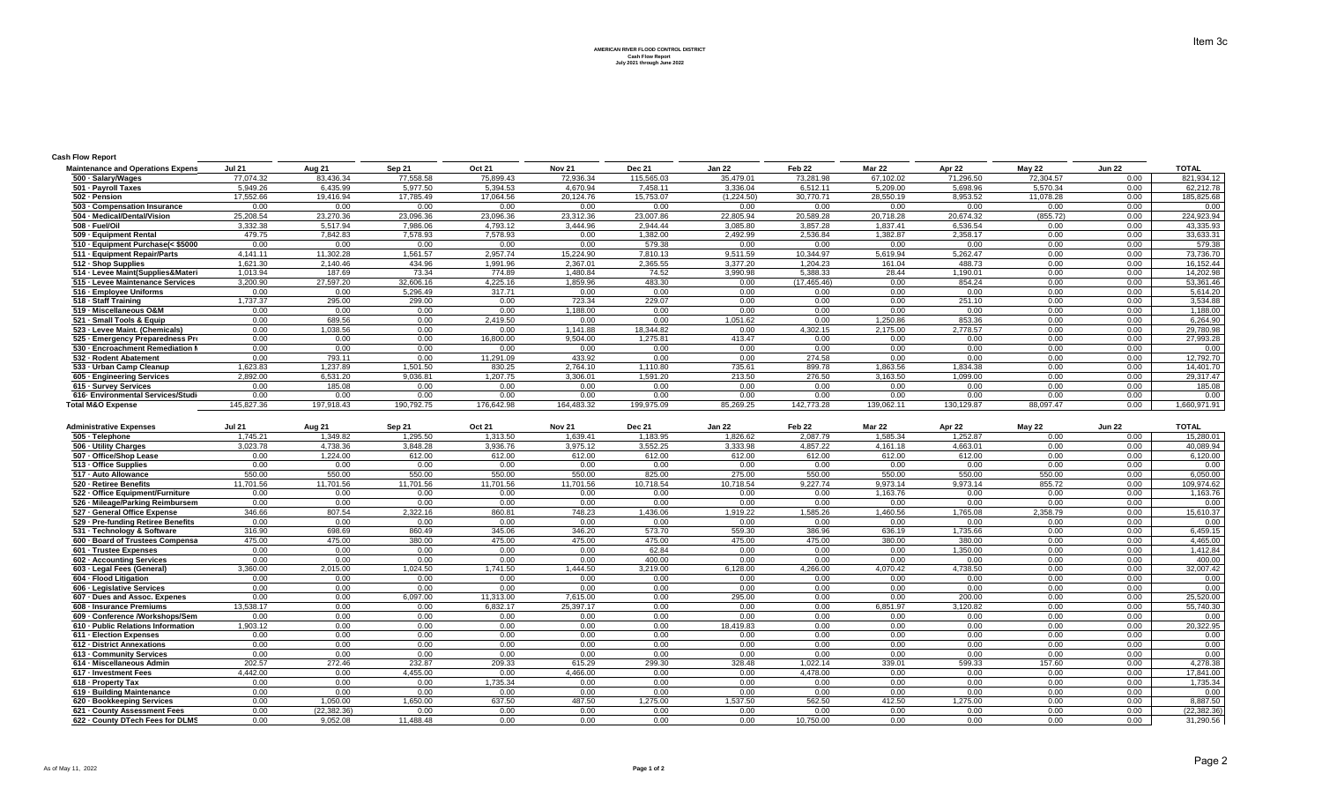**AMERICAN RIVER FLOOD CONTROL DISTRICT Cash Flow Report July 2021 through June 2022**

## **Cash Flow Report**

| <b>Maintenance and Operations Expens</b> | <b>Jul 21</b> | Aug 21     | Sep 21     | <b>Oct 21</b> | <b>Nov 21</b> | Dec 21     | Jan 22     | Feb 22       | <b>Mar 22</b> | Apr 22     | <b>May 22</b> | <b>Jun 22</b> | <b>TOTAL</b> |
|------------------------------------------|---------------|------------|------------|---------------|---------------|------------|------------|--------------|---------------|------------|---------------|---------------|--------------|
| 500 · Salary/Wages                       | 77,074.32     | 83,436.34  | 77,558.58  | 75,899.43     | 72,936.34     | 115,565.03 | 35,479.01  | 73,281.98    | 67,102.02     | 71,296.50  | 72,304.57     | 0.00          | 821,934.12   |
| 501 - Payroll Taxes                      | 5,949.26      | 6,435.99   | 5,977.50   | 5,394.53      | 4,670.94      | 7,458.11   | 3,336.04   | 6,512.11     | 5,209.00      | 5,698.96   | 5,570.34      | 0.00          | 62,212.78    |
| 502 - Pension                            | 17,552.66     | 19,416.94  | 17,785.49  | 17,064.56     | 20,124.76     | 15,753.07  | (1,224.50) | 30,770.71    | 28,550.19     | 8,953.52   | 11,078.28     | 0.00          | 185,825.68   |
| 503 - Compensation Insurance             | 0.00          | 0.00       | 0.00       | 0.00          | 0.00          | 0.00       | 0.00       | 0.00         | 0.00          | 0.00       | 0.00          | 0.00          | 0.00         |
| 504 - Medical/Dental/Vision              | 25,208.54     | 23,270.36  | 23,096.36  | 23,096.36     | 23,312.36     | 23,007.86  | 22,805.94  | 20,589.28    | 20,718.28     | 20,674.32  | (855.72)      | 0.00          | 224,923.94   |
| 508 - Fuel/Oil                           | 3,332.38      | 5,517.94   | 7,986.06   | 4,793.12      | 3,444.96      | 2,944.44   | 3,085.80   | 3,857.28     | 1,837.41      | 6,536.54   | 0.00          | 0.00          | 43,335.93    |
| 509 - Equipment Rental                   | 479.75        | 7,842.83   | 7,578.93   | 7,578.93      | 0.00          | 1,382.00   | 2,492.99   | 2,536.84     | 1,382.87      | 2,358.17   | 0.00          | 0.00          | 33,633.31    |
| 510 - Equipment Purchase(< \$5000        | 0.00          | 0.00       | 0.00       | 0.00          | 0.00          | 579.38     | 0.00       | 0.00         | 0.00          | 0.00       | 0.00          | 0.00          | 579.38       |
| 511 - Equipment Repair/Parts             | 4,141.11      | 11,302.28  | 1,561.57   | 2.957.74      | 15.224.90     | 7,810.13   | 9,511.59   | 10.344.97    | 5,619.94      | 5,262.47   | 0.00          | 0.00          | 73,736.70    |
| 512 - Shop Supplies                      | 1,621.30      | 2,140.46   | 434.96     | 1,991.96      | 2,367.01      | 2,365.55   | 3,377.20   | 1,204.23     | 161.04        | 488.73     | 0.00          | 0.00          | 16,152.44    |
| 514 - Levee Maint(Supplies&Materi        | 1,013.94      | 187.69     | 73.34      | 774.89        | 1,480.84      | 74.52      | 3,990.98   | 5,388.33     | 28.44         | 1,190.01   | 0.00          | 0.00          | 14,202.98    |
| 515 - Levee Maintenance Services         | 3,200.90      | 27,597.20  | 32,606.16  | 4,225.16      | 1,859.96      | 483.30     | 0.00       | (17, 465.46) | 0.00          | 854.24     | 0.00          | 0.00          | 53,361.46    |
| 516 - Employee Uniforms                  | 0.00          | 0.00       | 5,296.49   | 317.71        | 0.00          | 0.00       | 0.00       | 0.00         | 0.00          | 0.00       | 0.00          | 0.00          | 5,614.20     |
| 518 - Staff Training                     | 1,737.37      | 295.00     | 299.00     | 0.00          | 723.34        | 229.07     | 0.00       | 0.00         | 0.00          | 251.10     | 0.00          | 0.00          | 3,534.88     |
| 519 - Miscellaneous O&M                  | 0.00          | 0.00       | 0.00       | 0.00          | 188.00        | 0.00       | 0.00       | 0.00         | 0.00          | 0.00       | 0.00          | 0.00          | 1,188.00     |
| 521 - Small Tools & Equip                | 0.00          | 689.56     | 0.00       | 2,419.50      | 0.00          | 0.00       | 1,051.62   | 0.00         | 1,250.86      | 853.36     | 0.00          | 0.00          | 6,264.90     |
| 523 - Levee Maint. (Chemicals)           | 0.00          | 1,038.56   | 0.00       | 0.00          | 1.141.88      | 18.344.82  | 0.00       | 4,302.15     | 2,175.00      | 2,778.57   | 0.00          | 0.00          | 29,780.98    |
| 525 - Emergency Preparedness Pro         | 0.00          | 0.00       | 0.00       | 16,800.00     | 9.504.00      | 1,275.81   | 413.47     | 0.00         | 0.00          | 0.00       | 0.00          | 0.00          | 27,993.28    |
| 530 - Encroachment Remediation I         | 0.00          | 0.00       | 0.00       | 0.00          | 0.00          | 0.00       | 0.00       | 0.00         | 0.00          | 0.00       | 0.00          | 0.00          | 0.00         |
| 532 - Rodent Abatement                   | 0.00          | 793.11     | 0.00       | 11,291.09     | 433.92        | 0.00       | 0.00       | 274.58       | 0.00          | 0.00       | 0.00          | 0.00          | 12,792.70    |
| 533 - Urban Camp Cleanup                 | 1,623.83      | 1,237.89   | 1,501.50   | 830.25        | 2,764.10      | 1,110.80   | 735.61     | 899.78       | 1,863.56      | 1,834.38   | 0.00          | 0.00          | 14,401.70    |
| 605 - Engineering Services               | 2.892.00      | 6.531.20   | 9,036.81   | 1.207.75      | 3.306.01      | 1.591.20   | 213.50     | 276.50       | 3.163.50      | 1.099.00   | 0.00          | 0.00          | 29,317.47    |
| 615 - Survey Services                    | 0.00          | 185.08     | 0.00       | 0.00          | 0.00          | 0.00       | 0.00       | 0.00         | 0.00          | 0.00       | 0.00          | 0.00          | 185.08       |
| 616- Environmental Services/Studi        | 0.00          | 0.00       | 0.00       | 0.00          | 0.00          | 0.00       | 0.00       | 0.00         | 0.00          | 0.00       | 0.00          | 0.00          | 0.00         |
| <b>Total M&amp;O Expense</b>             | 145.827.36    | 197.918.43 | 190,792.75 | 176.642.98    | 164,483.32    | 199.975.09 | 85,269.25  | 142.773.28   | 139.062.11    | 130,129.87 | 88.097.47     | 0.00          | 1,660,971.91 |

| <b>Administrative Expenses</b>     | <b>Jul 21</b> | Aug 21      | Sep 21    | <b>Oct 21</b> | <b>Nov 21</b> | <b>Dec 21</b> | <b>Jan 22</b> | Feb <sub>22</sub> | <b>Mar 22</b> | Apr 22   | <b>May 22</b> | <b>Jun 22</b> | <b>TOTAL</b> |
|------------------------------------|---------------|-------------|-----------|---------------|---------------|---------------|---------------|-------------------|---------------|----------|---------------|---------------|--------------|
| 505 - Telephone                    | 1.745.21      | 1,349.82    | 1,295.50  | 1,313.50      | 1.639.41      | 1,183.95      | 1,826.62      | 2,087.79          | 1.585.34      | 1,252.87 | 0.00          | 0.00          | 15,280.01    |
| 506 - Utility Charges              | 3.023.78      | 4.738.36    | 3.848.28  | 3.936.76      | 3.975.12      | 3.552.25      | 3.333.98      | 4.857.22          | 4.161.18      | 4.663.01 | 0.00          | 0.00          | 40.089.94    |
| 507 - Office/Shop Lease            | 0.00          | 1.224.00    | 612.00    | 612.00        | 612.00        | 612.00        | 612.00        | 612.00            | 612.00        | 612.00   | 0.00          | 0.00          | 6,120.00     |
| 513 - Office Supplies              | 0.00          | 0.00        | 0.00      | 0.00          | 0.00          | 0.00          | 0.00          | 0.00              | 0.00          | 0.00     | 0.00          | 0.00          | 0.00         |
| 517 - Auto Allowance               | 550.00        | 550.00      | 550.00    | 550.00        | 550.00        | 825.00        | 275.00        | 550.00            | 550.00        | 550.00   | 550.00        | 0.00          | 6.050.00     |
| 520 - Retiree Benefits             | 11.701.56     | 11.701.56   | 11.701.56 | 11.701.56     | 11.701.56     | 10.718.54     | 10.718.54     | 9.227.74          | 9.973.14      | 9.973.14 | 855.72        | 0.00          | 109.974.62   |
| 522 - Office Equipment/Furniture   | 0.00          | 0.00        | 0.00      | 0.00          | 0.00          | 0.00          | 0.00          | 0.00              | 1.163.76      | 0.00     | 0.00          | 0.00          | 1,163.76     |
| 526 - Mileage/Parking Reimbursem   | 0.00          | 0.00        | 0.00      | 0.00          | 0.00          | 0.00          | 0.00          | 0.00              | 0.00          | 0.00     | 0.00          | 0.00          | 0.00         |
| 527 - General Office Expense       | 346.66        | 807.54      | 2.322.16  | 860.81        | 748.23        | 1.436.06      | 1.919.22      | 1.585.26          | 1.460.56      | 1.765.08 | 2.358.79      | 0.00          | 15,610.37    |
| 529 - Pre-funding Retiree Benefits | 0.00          | 0.00        | 0.00      | 0.00          | 0.00          | 0.00          | 0.00          | 0.00              | 0.00          | 0.00     | 0.00          | 0.00          | 0.00         |
| 531 - Technology & Software        | 316.90        | 698.69      | 860.49    | 345.06        | 346.20        | 573.70        | 559.30        | 386.96            | 636.19        | 1.735.66 | 0.00          | 0.00          | 6,459.15     |
| 600 - Board of Trustees Compensa   | 475.00        | 475.00      | 380.00    | 475.00        | 475.00        | 475.00        | 475.00        | 475.00            | 380.00        | 380.00   | 0.00          | 0.00          | 4,465.00     |
| 601 - Trustee Expenses             | 0.00          | 0.00        | 0.00      | 0.00          | 0.00          | 62.84         | 0.00          | 0.00              | 0.00          | 1,350.00 | 0.00          | 0.00          | 1,412.84     |
| 602 - Accounting Services          | 0.00          | 0.00        | 0.00      | 0.00          | 0.00          | 400.00        | 0.00          | 0.00              | 0.00          | 0.00     | 0.00          | 0.00          | 400.00       |
| 603 - Legal Fees (General)         | 3.360.00      | 2.015.00    | 1.024.50  | 1.741.50      | 1.444.50      | 3.219.00      | 6.128.00      | 4.266.00          | 4.070.42      | 4.738.50 | 0.00          | 0.00          | 32.007.42    |
| 604 - Flood Litigation             | 0.00          | 0.00        | 0.00      | 0.00          | 0.00          | 0.00          | 0.00          | 0.00              | 0.00          | 0.00     | 0.00          | 0.00          | 0.00         |
| 606 - Legislative Services         | 0.00          | 0.00        | 0.00      | 0.00          | 0.00          | 0.00          | 0.00          | 0.00              | 0.00          | 0.00     | 0.00          | 0.00          | 0.00         |
| 607 - Dues and Assoc. Expenes      | 0.00          | 0.00        | 6,097.00  | 11.313.00     | 7.615.00      | 0.00          | 295.00        | 0.00              | 0.00          | 200.00   | 0.00          | 0.00          | 25,520.00    |
| 608 - Insurance Premiums           | 13.538.17     | 0.00        | 0.00      | 6.832.17      | 25.397.17     | 0.00          | 0.00          | 0.00              | 6.851.97      | 3.120.82 | 0.00          | 0.00          | 55.740.30    |
| 609 - Conference /Workshops/Sem    | 0.00          | 0.00        | 0.00      | 0.00          | 0.00          | 0.00          | 0.00          | 0.00              | 0.00          | 0.00     | 0.00          | 0.00          | 0.00         |
| 610 - Public Relations Information | 1.903.12      | 0.00        | 0.00      | 0.00          | 0.00          | 0.00          | 18.419.83     | 0.00              | 0.00          | 0.00     | 0.00          | 0.00          | 20,322.95    |
| 611 - Election Expenses            | 0.00          | 0.00        | 0.00      | 0.00          | 0.00          | 0.00          | 0.00          | 0.00              | 0.00          | 0.00     | 0.00          | 0.00          | 0.00         |
| 612 - District Annexations         | 0.00          | 0.00        | 0.00      | 0.00          | 0.00          | 0.00          | 0.00          | 0.00              | 0.00          | 0.00     | 0.00          | 0.00          | 0.00         |
| 613 - Community Services           | 0.00          | 0.00        | 0.00      | 0.00          | 0.00          | 0.00          | 0.00          | 0.00              | 0.00          | 0.00     | 0.00          | 0.00          | 0.00         |
| 614 - Miscellaneous Admin          | 202.57        | 272.46      | 232.87    | 209.33        | 615.29        | 299.30        | 328.48        | 1.022.14          | 339.01        | 599.33   | 157.60        | 0.00          | 4.278.38     |
| 617 - Investment Fees              | 4,442.00      | 0.00        | 4.455.00  | 0.00          | 4.466.00      | 0.00          | 0.00          | 4.478.00          | 0.00          | 0.00     | 0.00          | 0.00          | 17,841.00    |
| 618 - Property Tax                 | 0.00          | 0.00        | 0.00      | 1.735.34      | 0.00          | 0.00          | 0.00          | 0.00              | 0.00          | 0.00     | 0.00          | 0.00          | 1,735.34     |
| 619 - Building Maintenance         | 0.00          | 0.00        | 0.00      | 0.00          | 0.00          | 0.00          | 0.00          | 0.00              | 0.00          | 0.00     | 0.00          | 0.00          | 0.00         |
| 620 - Bookkeeping Services         | 0.00          | 1.050.00    | 1,650.00  | 637.50        | 487.50        | 1,275.00      | 1,537.50      | 562.50            | 412.50        | 1,275.00 | 0.00          | 0.00          | 8,887.50     |
| 621 - County Assessment Fees       | 0.00          | (22.382.36) | 0.00      | 0.00          | 0.00          | 0.00          | 0.00          | 0.00              | 0.00          | 0.00     | 0.00          | 0.00          | (22,382.36   |
| 622 - County DTech Fees for DLMS   | 0.00          | 9.052.08    | 11.488.48 | 0.00          | 0.00          | 0.00          | 0.00          | 10,750.00         | 0.00          | 0.00     | 0.00          | 0.00          | 31,290.56    |